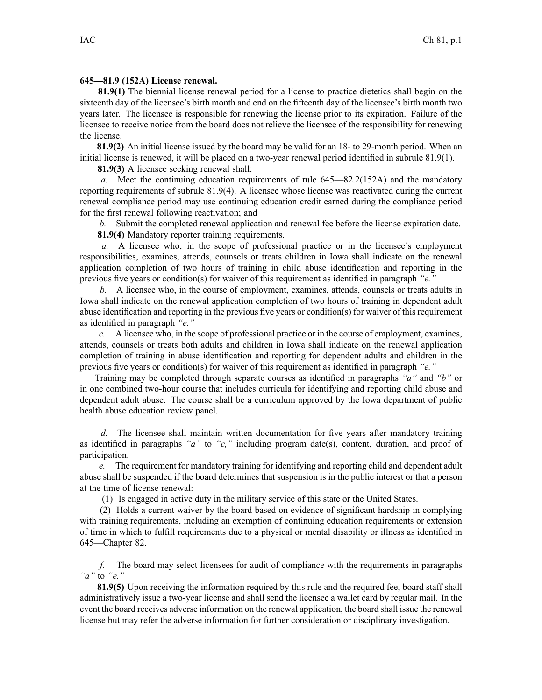## **645—81.9 (152A) License renewal.**

**81.9(1)** The biennial license renewal period for <sup>a</sup> license to practice dietetics shall begin on the sixteenth day of the licensee's birth month and end on the fifteenth day of the licensee's birth month two years later. The licensee is responsible for renewing the license prior to its expiration. Failure of the licensee to receive notice from the board does not relieve the licensee of the responsibility for renewing the license.

**81.9(2)** An initial license issued by the board may be valid for an 18- to 29-month period. When an initial license is renewed, it will be placed on <sup>a</sup> two-year renewal period identified in subrule 81.9(1).

**81.9(3)** A licensee seeking renewal shall:

*a.* Meet the continuing education requirements of rule 645—82.2(152A) and the mandatory reporting requirements of subrule 81.9(4). A licensee whose license was reactivated during the current renewal compliance period may use continuing education credit earned during the compliance period for the first renewal following reactivation; and

*b.* Submit the completed renewal application and renewal fee before the license expiration date. **81.9(4)** Mandatory reporter training requirements.

*a.* A licensee who, in the scope of professional practice or in the licensee's employment responsibilities, examines, attends, counsels or treats children in Iowa shall indicate on the renewal application completion of two hours of training in child abuse identification and reporting in the previous five years or condition(s) for waiver of this requirement as identified in paragraph *"e."*

*b.* A licensee who, in the course of employment, examines, attends, counsels or treats adults in Iowa shall indicate on the renewal application completion of two hours of training in dependent adult abuse identification and reporting in the previous five years or condition(s) for waiver of thisrequirement as identified in paragraph *"e."*

*c.* A licensee who, in the scope of professional practice or in the course of employment, examines, attends, counsels or treats both adults and children in Iowa shall indicate on the renewal application completion of training in abuse identification and reporting for dependent adults and children in the previous five years or condition(s) for waiver of this requirement as identified in paragraph *"e."*

Training may be completed through separate courses as identified in paragraphs *"a"* and *"b"* or in one combined two-hour course that includes curricula for identifying and reporting child abuse and dependent adult abuse. The course shall be <sup>a</sup> curriculum approved by the Iowa department of public health abuse education review panel.

*d.* The licensee shall maintain written documentation for five years after mandatory training as identified in paragraphs *"a"* to *"c,"* including program date(s), content, duration, and proof of participation.

*e.* The requirement for mandatory training for identifying and reporting child and dependent adult abuse shall be suspended if the board determines that suspension is in the public interest or that <sup>a</sup> person at the time of license renewal:

(1) Is engaged in active duty in the military service of this state or the United States.

(2) Holds <sup>a</sup> current waiver by the board based on evidence of significant hardship in complying with training requirements, including an exemption of continuing education requirements or extension of time in which to fulfill requirements due to <sup>a</sup> physical or mental disability or illness as identified in 645—Chapter 82.

*f.* The board may select licensees for audit of compliance with the requirements in paragraphs *"a"* to *"e."*

**81.9(5)** Upon receiving the information required by this rule and the required fee, board staff shall administratively issue <sup>a</sup> two-year license and shall send the licensee <sup>a</sup> wallet card by regular mail. In the event the board receives adverse information on the renewal application, the board shall issue the renewal license but may refer the adverse information for further consideration or disciplinary investigation.